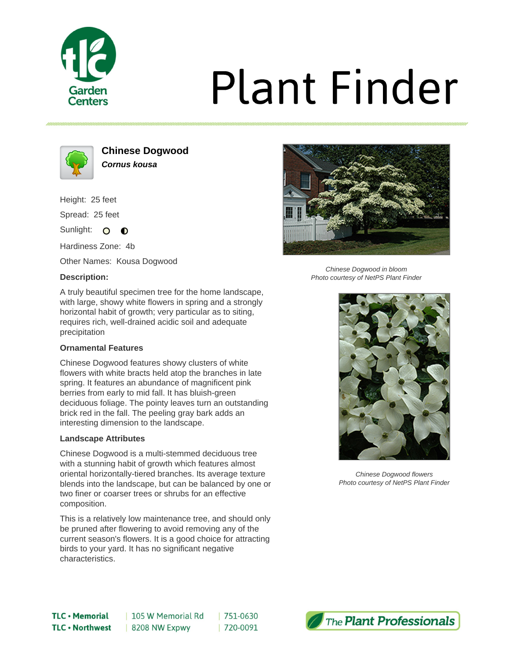

# **Plant Finder**



**Chinese Dogwood Cornus kousa**

Height: 25 feet

Spread: 25 feet

Sunlight: O  $\bullet$ 

Hardiness Zone: 4b

Other Names: Kousa Dogwood

## **Description:**



Chinese Dogwood in bloom Photo courtesy of NetPS Plant Finder

A truly beautiful specimen tree for the home landscape, with large, showy white flowers in spring and a strongly horizontal habit of growth; very particular as to siting, requires rich, well-drained acidic soil and adequate precipitation

## **Ornamental Features**

Chinese Dogwood features showy clusters of white flowers with white bracts held atop the branches in late spring. It features an abundance of magnificent pink berries from early to mid fall. It has bluish-green deciduous foliage. The pointy leaves turn an outstanding brick red in the fall. The peeling gray bark adds an interesting dimension to the landscape.

### **Landscape Attributes**

Chinese Dogwood is a multi-stemmed deciduous tree with a stunning habit of growth which features almost oriental horizontally-tiered branches. Its average texture blends into the landscape, but can be balanced by one or two finer or coarser trees or shrubs for an effective composition.

This is a relatively low maintenance tree, and should only be pruned after flowering to avoid removing any of the current season's flowers. It is a good choice for attracting birds to your yard. It has no significant negative characteristics.



Chinese Dogwood flowers Photo courtesy of NetPS Plant Finder